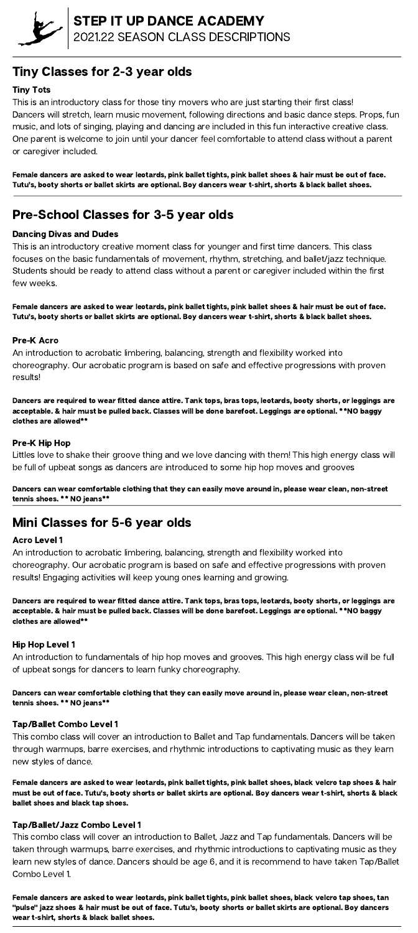

# Tiny Classes for 2-3 year olds

#### Tiny Tots

This is an introductory class for those tiny movers who are just starting their first class! Dancers will stretch, learn music movement, following directions and basic dance steps. Props, fun music, and lots of singing, playing and dancing are included in this fun interactive creative class. One parent is welcome to join until your dancer feel comfortable to attend class without a parent or caregiver included.

Female dancers are asked to wear leotards, pink ballet tights, pink ballet shoes & hair must be out of face. Tutu's, booty shorts or ballet skirts are optional. Boy dancers wear t-shirt, shorts & black ballet shoes.

# Pre-School Classes for 3-5 year olds

#### Dancing Divas and Dudes

This is an introductory creative moment class for younger and first time dancers. This class focuses on the basic fundamentals of movement, rhythm, stretching, and ballet/jazz technique. Students should be ready to attend class without a parent or caregiver included within the first few weeks.

Female dancers are asked to wear leotards, pink ballet tights, pink ballet shoes & hair must be out of face. Tutu's, booty shorts or ballet skirts are optional. Boy dancers wear t-shirt, shorts & black ballet shoes.

#### Pre-K Acro

An introduction to acrobatic limbering, balancing, strength and flexibility worked into choreography. Our acrobatic program is based on safe and effective progressions with proven results!

Dancers are required to wear fitted dance attire. Tank tops, bras tops, leotards, booty shorts, or leggings are acceptable. & hair must be pulled back. Classes will be done barefoot. Leggings are optional. \*\*NO baggy clothes are allowed\*\*

#### Pre-K Hip Hop

Littles love to shake their groove thing and we love dancing with them! This high energy class will be full of upbeat songs as dancers are introduced to some hip hop moves and grooves

Dancers can wear comfortable clothing that they can easily move around in, please wear clean, non-street tennis shoes. \*\* NO jeans\*\*

# Mini Classes for 5-6 year olds

#### Acro Level 1

An introduction to acrobatic limbering, balancing, strength and flexibility worked into choreography. Our acrobatic program is based on safe and effective progressions with proven results! Engaging activities will keep young ones learning and growing.

Dancers are required to wear fitted dance attire. Tank tops, bras tops, leotards, booty shorts, or leggings are acceptable. & hair must be pulled back. Classes will be done barefoot. Leggings are optional. \*\*NO baggy

clothes are allowed\*\*

#### Hip Hop Level 1

An introduction to fundamentals of hip hop moves and grooves. This high energy class will be full of upbeat songs for dancers to learn funky choreography.

Dancers can wear comfortable clothing that they can easily move around in, please wear clean, non-street tennis shoes. \*\* NO jeans\*\*

#### Tap/Ballet Combo Level 1

This combo class will cover an introduction to Ballet and Tap fundamentals. Dancers will be taken through warmups, barre exercises, and rhythmic introductions to captivating music as they learn new styles of dance.

Female dancers are asked to wear leotards, pink ballet tights, pink ballet shoes, black velcro tap shoes & hair must be out of face. Tutu's, booty shorts or ballet skirts are optional. Boy dancers wear t-shirt, shorts & black ballet shoes and black tap shoes.

#### Tap/Ballet/Jazz Combo Level 1

This combo class will cover an introduction to Ballet, Jazz and Tap fundamentals. Dancers will be taken through warmups, barre exercises, and rhythmic introductions to captivating music as they learn new styles of dance. Dancers should be age 6, and it is recommend to have taken Tap/Ballet Combo Level 1.

Female dancers are asked to wear leotards, pink ballet tights, pink ballet shoes, black velcro tap shoes, tan "pulse" jazz shoes & hair must be out of face. Tutu's, booty shorts or ballet skirts are optional. Boy dancers wear t-shirt, shorts & black ballet shoes.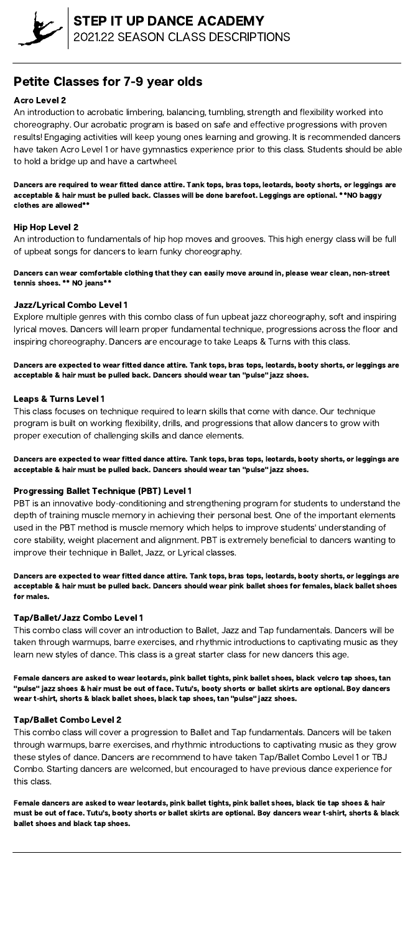

# Petite Classes for 7-9 year olds

## Acro Level 2

An introduction to acrobatic limbering, balancing, tumbling, strength and flexibility worked into choreography. Our acrobatic program is based on safe and effective progressions with proven results! Engaging activities will keep young ones learning and growing. It is recommended dancers have taken Acro Level 1 or have gymnastics experience prior to this class. Students should be able to hold a bridge up and have a cartwheel.

Dancers are required to wear fitted dance attire. Tank tops, bras tops, leotards, booty shorts, or leggings are acceptable & hair must be pulled back. Classes will be done barefoot. Leggings are optional. \*\*NO baggy clothes are allowed\*\*

## Hip Hop Level 2

An introduction to fundamentals of hip hop moves and grooves. This high energy class will be full of upbeat songs for dancers to learn funky choreography.

Dancers can wear comfortable clothing that they can easily move around in, please wear clean, non-street tennis shoes. \*\* NO jeans\*\*

#### Jazz/Lyrical Combo Level 1

Explore multiple genres with this combo class of fun upbeat jazz choreography, soft and inspiring lyrical moves. Dancers will learn proper fundamental technique, progressions across the floor and inspiring choreography. Dancers are encourage to take Leaps & Turns with this class.

Dancers are expected to wear fitted dance attire. Tank tops, bras tops, leotards, booty shorts, or leggings are acceptable & hair must be pulled back. Dancers should wear tan "pulse" jazz shoes.

#### Leaps & Turns Level 1

This class focuses on technique required to learn skills that come with dance. Our technique program is built on working flexibility, drills, and progressions that allow dancers to grow with proper execution of challenging skills and dance elements.

Dancers are expected to wear fitted dance attire. Tank tops, bras tops, leotards, booty shorts, or leggings are acceptable & hair must be pulled back. Dancers should wear tan "pulse" jazz shoes.

## Progressing Ballet Technique (PBT) Level 1

PBT is an innovative body-conditioning and strengthening program for students to understand the depth of training muscle memory in achieving their personal best. One of the important elements used in the PBT method is muscle memory which helps to improve students' understanding of core stability, weight placement and alignment. PBT is extremely beneficial to dancers wanting to improve their technique in Ballet, Jazz, or Lyrical classes.

Dancers are expected to wear fitted dance attire. Tank tops, bras tops, leotards, booty shorts, or leggings are acceptable & hair must be pulled back. Dancers should wear pink ballet shoes for females, black ballet shoes for males.

#### Tap/Ballet/Jazz Combo Level 1

This combo class will cover an introduction to Ballet, Jazz and Tap fundamentals. Dancers will be taken through warmups, barre exercises, and rhythmic introductions to captivating music as they learn new styles of dance. This class is a great starter class for new dancers this age.

Female dancers are asked to wear leotards, pink ballet tights, pink ballet shoes, black velcro tap shoes, tan "pulse" jazz shoes & hair must be out of face. Tutu's, booty shorts or ballet skirts are optional. Boy dancers wear t-shirt, shorts & black ballet shoes, black tap shoes, tan "pulse" jazz shoes.

#### Tap/Ballet Combo Level 2

This combo class will cover a progression to Ballet and Tap fundamentals. Dancers will be taken through warmups, barre exercises, and rhythmic introductions to captivating music as they grow these styles of dance. Dancers are recommend to have taken Tap/Ballet Combo Level 1 or TBJ Combo. Starting dancers are welcomed, but encouraged to have previous dance experience for this class.

Female dancers are asked to wear leotards, pink ballet tights, pink ballet shoes, black tie tap shoes & hair must be out of face. Tutu's, booty shorts or ballet skirts are optional. Boy dancers wear t-shirt, shorts & black ballet shoes and black tap shoes.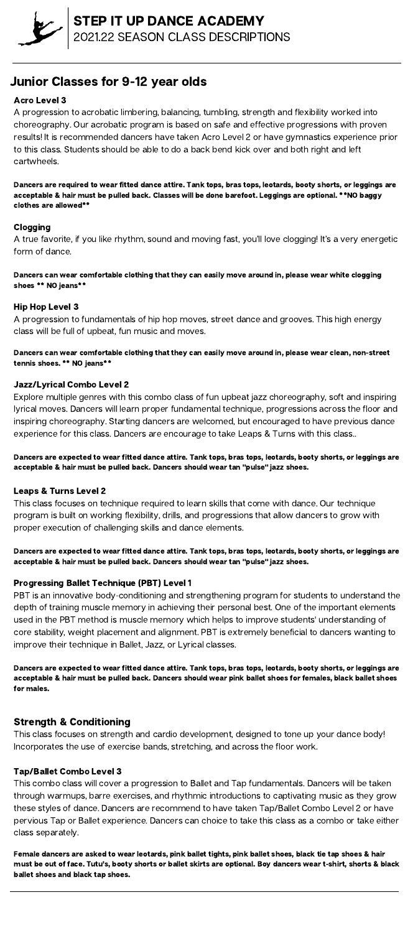# Junior Classes for 9-12 year olds

## Acro Level 3

A progression to acrobatic limbering, balancing, tumbling, strength and flexibility worked into choreography. Our acrobatic program is based on safe and effective progressions with proven results! It is recommended dancers have taken Acro Level 2 or have gymnastics experience prior to this class. Students should be able to do a back bend kick over and both right and left cartwheels.

Dancers are required to wear fitted dance attire. Tank tops, bras tops, leotards, booty shorts, or leggings are acceptable & hair must be pulled back. Classes will be done barefoot. Leggings are optional. \*\*NO baggy clothes are allowed\*\*

## Clogging

A true favorite, if you like rhythm, sound and moving fast, you'll love clogging! It's a very energetic form of dance.

Dancers can wear comfortable clothing that they can easily move around in, please wear white clogging shoes \*\* NO jeans\*\*

#### Hip Hop Level 3

A progression to fundamentals of hip hop moves, street dance and grooves. This high energy class will be full of upbeat, fun music and moves.

Dancers can wear comfortable clothing that they can easily move around in, please wear clean, non-street tennis shoes. \*\* NO jeans\*\*

#### Jazz/Lyrical Combo Level 2

Explore multiple genres with this combo class of fun upbeat jazz choreography, soft and inspiring lyrical moves. Dancers will learn proper fundamental technique, progressions across the floor and inspiring choreography. Starting dancers are welcomed, but encouraged to have previous dance experience for this class. Dancers are encourage to take Leaps & Turns with this class..

Dancers are expected to wear fitted dance attire. Tank tops, bras tops, leotards, booty shorts, or leggings are acceptable & hair must be pulled back. Dancers should wear tan "pulse" jazz shoes.

#### Leaps & Turns Level 2

This class focuses on technique required to learn skills that come with dance. Our technique program is built on working flexibility, drills, and progressions that allow dancers to grow with proper execution of challenging skills and dance elements.

Dancers are expected to wear fitted dance attire. Tank tops, bras tops, leotards, booty shorts, or leggings are acceptable & hair must be pulled back. Dancers should wear tan "pulse" jazz shoes.

## Progressing Ballet Technique (PBT) Level 1

PBT is an innovative body-conditioning and strengthening program for students to understand the depth of training muscle memory in achieving their personal best. One of the important elements

used in the PBT method is muscle memory which helps to improve students' understanding of core stability, weight placement and alignment. PBT is extremely beneficial to dancers wanting to improve their technique in Ballet, Jazz, or Lyrical classes.

Dancers are expected to wear fitted dance attire. Tank tops, bras tops, leotards, booty shorts, or leggings are acceptable & hair must be pulled back. Dancers should wear pink ballet shoes for females, black ballet shoes for males.

## Strength & Conditioning

This class focuses on strength and cardio development, designed to tone up your dance body! Incorporates the use of exercise bands, stretching, and across the floor work.

#### Tap/Ballet Combo Level 3

This combo class will cover a progression to Ballet and Tap fundamentals. Dancers will be taken through warmups, barre exercises, and rhythmic introductions to captivating music as they grow these styles of dance. Dancers are recommend to have taken Tap/Ballet Combo Level 2 or have pervious Tap or Ballet experience. Dancers can choice to take this class as a combo or take either class separately.

Female dancers are asked to wear leotards, pink ballet tights, pink ballet shoes, black tie tap shoes & hair must be out of face. Tutu's, booty shorts or ballet skirts are optional. Boy dancers wear t-shirt, shorts & black ballet shoes and black tap shoes.